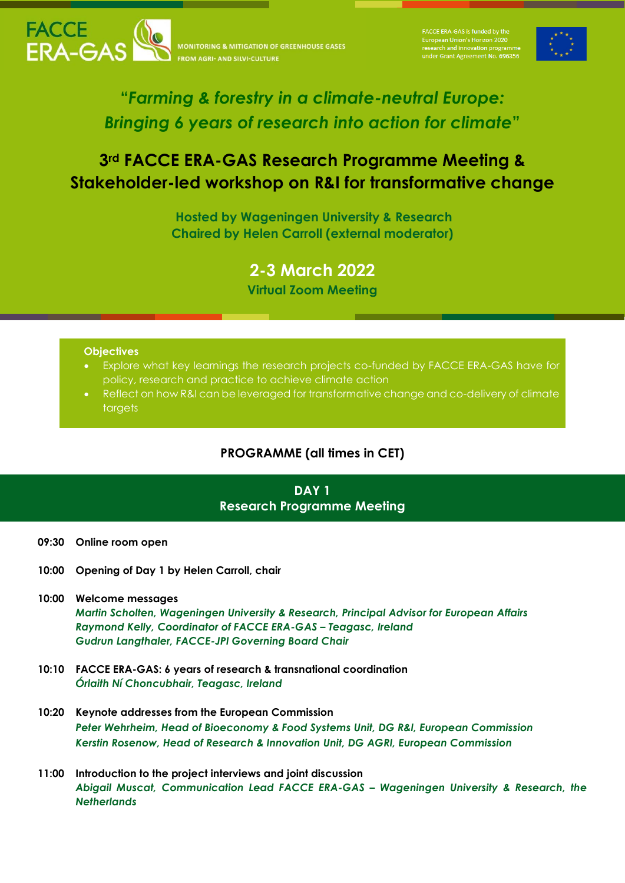

**NITORING & MITIGATION OF GREENHOUSE GASES** 

European Union's Horizon 2020<br>research and innovation prograr



# **"***Farming & forestry in a climate-neutral Europe: Bringing 6 years of research into action for climate***"**

# **3rd FACCE ERA-GAS Research Programme Meeting & Stakeholder-led workshop on R&I for transformative change**

**Hosted by Wageningen University & Research Chaired by Helen Carroll (external moderator)**

**2-3 March 2022**

**Virtual Zoom Meeting**

### **Objectives**

- Explore what key learnings the research projects co-funded by FACCE ERA-GAS have for policy, research and practice to achieve climate action
- Reflect on how R&I can be leveraged for transformative change and co-delivery of climate targets

## **PROGRAMME (all times in CET)**

## **DAY 1 Research Programme Meeting**

- **09:30 Online room open**
- **10:00 Opening of Day 1 by Helen Carroll, chair**
- **10:00 Welcome messages** *Martin Scholten, Wageningen University & Research, Principal Advisor for European Affairs Raymond Kelly, Coordinator of FACCE ERA-GAS – Teagasc, Ireland Gudrun Langthaler, FACCE-JPI Governing Board Chair*
- **10:10 FACCE ERA-GAS: 6 years of research & transnational coordination**  *Órlaith Ní Choncubhair, Teagasc, Ireland*
- **10:20 Keynote addresses from the European Commission** *Peter Wehrheim, Head of Bioeconomy & Food Systems Unit, DG R&I, European Commission Kerstin Rosenow, Head of Research & Innovation Unit, DG AGRI, European Commission*
- **11:00 Introduction to the project interviews and joint discussion** *Abigail Muscat, Communication Lead FACCE ERA-GAS – Wageningen University & Research, the Netherlands*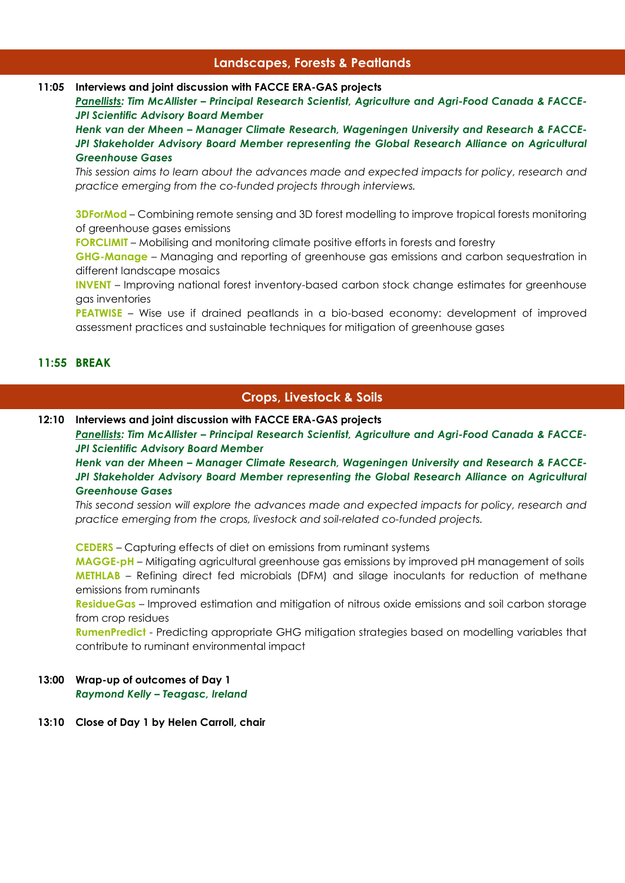## **Landscapes, Forests & Peatlands**

## **11:05 Interviews and joint discussion with FACCE ERA-GAS projects**

*Panellists: Tim McAllister – Principal Research Scientist, Agriculture and Agri-Food Canada & FACCE-JPI Scientific Advisory Board Member*

*Henk van der Mheen – Manager Climate Research, Wageningen University and Research & FACCE-*JPI Stakeholder Advisory Board Member representing the Global Research Alliance on Agricultural *Greenhouse Gases*

*This session aims to learn about the advances made and expected impacts for policy, research and practice emerging from the co-funded projects through interviews.*

**3DForMod** – Combining remote sensing and 3D forest modelling to improve tropical forests monitoring of greenhouse gases emissions

**FORCLIMIT** – Mobilising and monitoring climate positive efforts in forests and forestry

**GHG-Manage** – Managing and reporting of greenhouse gas emissions and carbon sequestration in different landscape mosaics

**INVENT** – Improving national forest inventory-based carbon stock change estimates for greenhouse gas inventories

**PEATWISE** – Wise use if drained peatlands in a bio-based economy: development of improved assessment practices and sustainable techniques for mitigation of greenhouse gases

## **11:55 BREAK**

## **Crops, Livestock & Soils**

**12:10 Interviews and joint discussion with FACCE ERA-GAS projects**

*Panellists: Tim McAllister – Principal Research Scientist, Agriculture and Agri-Food Canada & FACCE-JPI Scientific Advisory Board Member*

*Henk van der Mheen – Manager Climate Research, Wageningen University and Research & FACCE-*JPI Stakeholder Advisory Board Member representing the Global Research Alliance on Agricultural *Greenhouse Gases*

*This second session will explore the advances made and expected impacts for policy, research and practice emerging from the crops, livestock and soil-related co-funded projects.*

**CEDERS** – Capturing effects of diet on emissions from ruminant systems

**MAGGE-pH** – Mitigating agricultural greenhouse gas emissions by improved pH management of soils **METHLAB** – Refining direct fed microbials (DFM) and silage inoculants for reduction of methane emissions from ruminants

**ResidueGas** – Improved estimation and mitigation of nitrous oxide emissions and soil carbon storage from crop residues

**RumenPredict** - Predicting appropriate GHG mitigation strategies based on modelling variables that contribute to ruminant environmental impact

### **13:00 Wrap-up of outcomes of Day 1** *Raymond Kelly – Teagasc, Ireland*

### **13:10 Close of Day 1 by Helen Carroll, chair**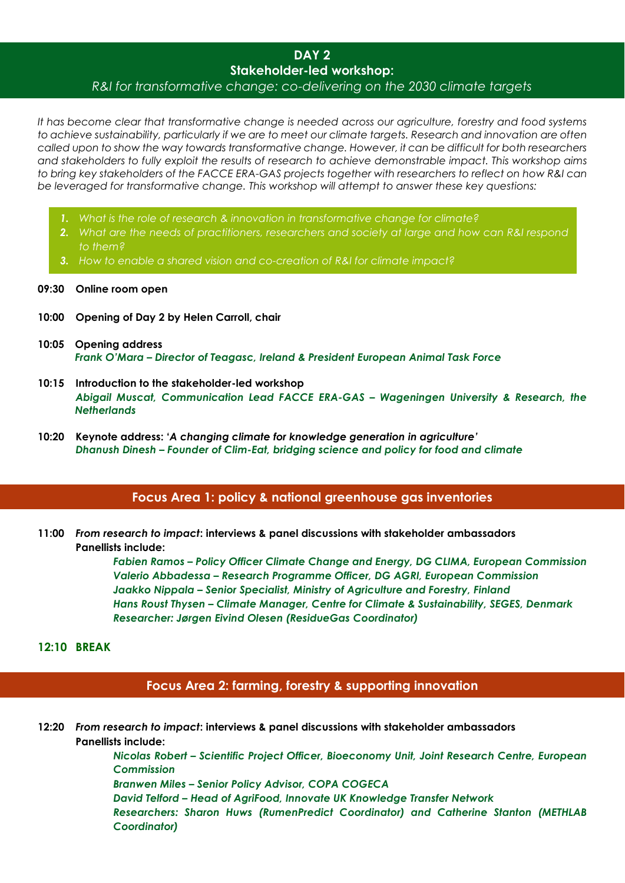## **DAY 2 Stakeholder-led workshop:** *R&I for transformative change: co-delivering on the 2030 climate targets*

*It has become clear that transformative change is needed across our agriculture, forestry and food systems to achieve sustainability, particularly if we are to meet our climate targets. Research and innovation are often called upon to show the way towards transformative change. However, it can be difficult for both researchers and stakeholders to fully exploit the results of research to achieve demonstrable impact. This workshop aims to bring key stakeholders of the FACCE ERA-GAS projects together with researchers to reflect on how R&I can be leveraged for transformative change. This workshop will attempt to answer these key questions:*

- *1. What is the role of research & innovation in transformative change for climate?*
- *2. What are the needs of practitioners, researchers and society at large and how can R&I respond to them?*
- *3. How to enable a shared vision and co-creation of R&I for climate impact?*

#### **09:30 Online room open**

- **10:00 Opening of Day 2 by Helen Carroll, chair**
- **10:05 Opening address** *Frank O'Mara – Director of Teagasc, Ireland & President European Animal Task Force*
- **10:15 Introduction to the stakeholder-led workshop**  *Abigail Muscat, Communication Lead FACCE ERA-GAS – Wageningen University & Research, the Netherlands*
- **10:20 Keynote address: '***A changing climate for knowledge generation in agriculture' Dhanush Dinesh – Founder of Clim-Eat, bridging science and policy for food and climate*

### **Focus Area 1: policy & national greenhouse gas inventories**

**11:00** *From research to impact***: interviews & panel discussions with stakeholder ambassadors Panellists include:**

> *Fabien Ramos – Policy Officer Climate Change and Energy, DG CLIMA, European Commission Valerio Abbadessa – Research Programme Officer, DG AGRI, European Commission Jaakko Nippala – Senior Specialist, Ministry of Agriculture and Forestry, Finland Hans Roust Thysen – Climate Manager, Centre for Climate & Sustainability, SEGES, Denmark Researcher: Jørgen Eivind Olesen (ResidueGas Coordinator)*

#### **12:10 BREAK**

## **Focus Area 2: farming, forestry & supporting innovation**

**12:20** *From research to impact***: interviews & panel discussions with stakeholder ambassadors Panellists include:**

> *Nicolas Robert – Scientific Project Officer, Bioeconomy Unit, Joint Research Centre, European Commission*

*Branwen Miles – Senior Policy Advisor, COPA COGECA*

*David Telford – Head of AgriFood, Innovate UK Knowledge Transfer Network Researchers: Sharon Huws (RumenPredict Coordinator) and Catherine Stanton (METHLAB Coordinator)*